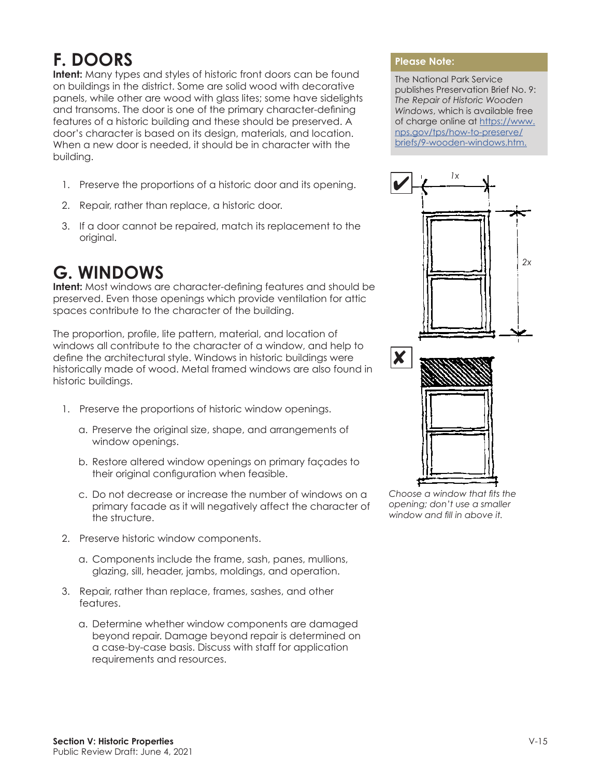## **F. DOORS**

**Intent:** Many types and styles of historic front doors can be found on buildings in the district. Some are solid wood with decorative panels, while other are wood with glass lites; some have sidelights and transoms. The door is one of the primary character-defining features of a historic building and these should be preserved. A door's character is based on its design, materials, and location. When a new door is needed, it should be in character with the building.

- 1. Preserve the proportions of a historic door and its opening.
- 2. Repair, rather than replace, a historic door.
- 3. If a door cannot be repaired, match its replacement to the original.

## **G. WINDOWS**

**Intent:** Most windows are character-defining features and should be preserved. Even those openings which provide ventilation for attic spaces contribute to the character of the building.

The proportion, profile, lite pattern, material, and location of windows all contribute to the character of a window, and help to define the architectural style. Windows in historic buildings were historically made of wood. Metal framed windows are also found in historic buildings.

- 1. Preserve the proportions of historic window openings.
	- a. Preserve the original size, shape, and arrangements of window openings.
	- b. Restore altered window openings on primary façades to their original configuration when feasible.
	- c. Do not decrease or increase the number of windows on a primary facade as it will negatively affect the character of the structure.
- 2. Preserve historic window components.
	- a. Components include the frame, sash, panes, mullions, glazing, sill, header, jambs, moldings, and operation.
- 3. Repair, rather than replace, frames, sashes, and other features.
	- a. Determine whether window components are damaged beyond repair. Damage beyond repair is determined on a case-by-case basis. Discuss with staff for application requirements and resources.

## **Please Note:**

The National Park Service publishes Preservation Brief No. 9: *The Repair of Historic Wooden Windows*, which is available free of charge online at [https://www.](https://www.nps.gov/tps/how-to-preserve/briefs/9-wooden-windows.htm.) [nps.gov/tps/how-to-preserve/](https://www.nps.gov/tps/how-to-preserve/briefs/9-wooden-windows.htm.) [briefs/9-wooden-windows.htm.](https://www.nps.gov/tps/how-to-preserve/briefs/9-wooden-windows.htm.)



*Choose a window that fits the opening; don't use a smaller window and fill in above it.*